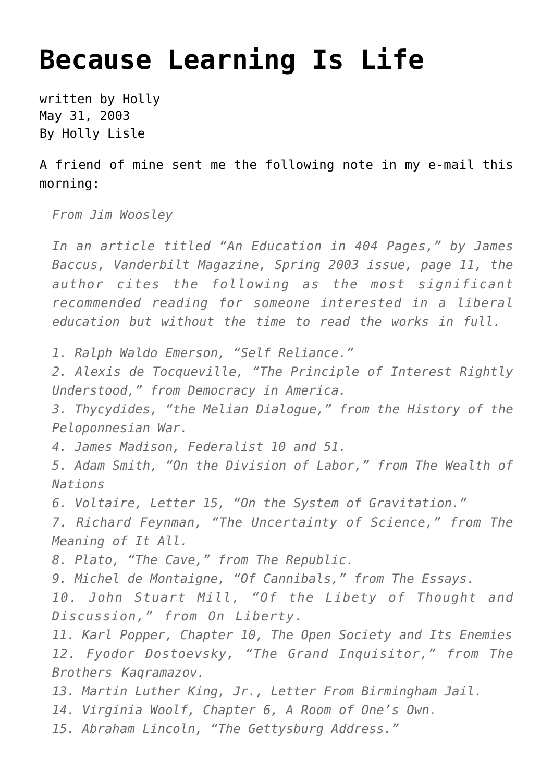## **[Because Learning Is Life](https://hollylisle.com/because-learning-is-life/)**

written by Holly May 31, 2003 [By Holly Lisle](https://hollylisle.com)

A friend of mine sent me the following note in my e-mail this morning:

*From Jim Woosley*

*In an article titled "An Education in 404 Pages," by James Baccus, Vanderbilt Magazine, Spring 2003 issue, page 11, the author cites the following as the most significant recommended reading for someone interested in a liberal education but without the time to read the works in full.*

*1. Ralph Waldo Emerson, "Self Reliance."*

*2. Alexis de Tocqueville, "The Principle of Interest Rightly Understood," from Democracy in America.*

*3. Thycydides, "the Melian Dialogue," from the History of the Peloponnesian War.*

*4. James Madison, Federalist 10 and 51.*

*5. Adam Smith, "On the Division of Labor," from The Wealth of Nations*

*6. Voltaire, Letter 15, "On the System of Gravitation."*

*7. Richard Feynman, "The Uncertainty of Science," from The Meaning of It All.*

*8. Plato, "The Cave," from The Republic.*

*9. Michel de Montaigne, "Of Cannibals," from The Essays.*

*10. John Stuart Mill, "Of the Libety of Thought and Discussion," from On Liberty.*

*11. Karl Popper, Chapter 10, The Open Society and Its Enemies 12. Fyodor Dostoevsky, "The Grand Inquisitor," from The Brothers Kaqramazov.*

*13. Martin Luther King, Jr., Letter From Birmingham Jail.*

*14. Virginia Woolf, Chapter 6, A Room of One's Own.*

*15. Abraham Lincoln, "The Gettysburg Address."*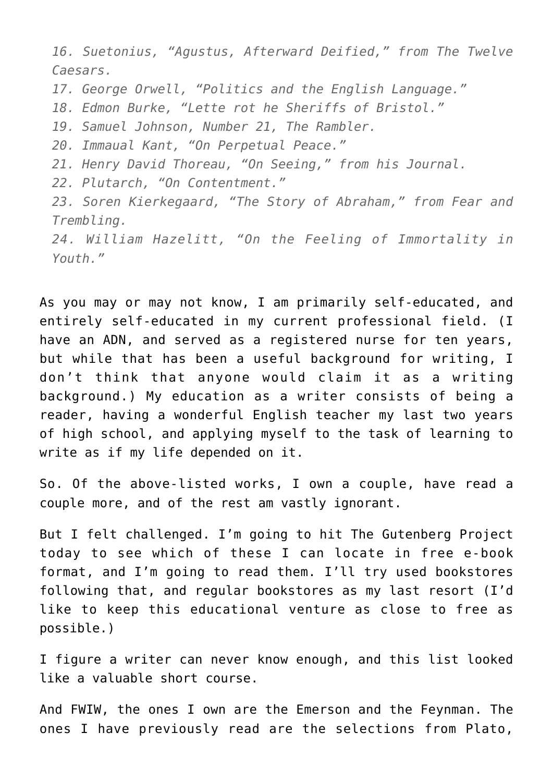*16. Suetonius, "Agustus, Afterward Deified," from The Twelve Caesars.*

*17. George Orwell, "Politics and the English Language."*

*18. Edmon Burke, "Lette rot he Sheriffs of Bristol."*

*19. Samuel Johnson, Number 21, The Rambler.*

*20. Immaual Kant, "On Perpetual Peace."*

*21. Henry David Thoreau, "On Seeing," from his Journal.*

*22. Plutarch, "On Contentment."*

*23. Soren Kierkegaard, "The Story of Abraham," from Fear and Trembling.*

*24. William Hazelitt, "On the Feeling of Immortality in Youth."*

As you may or may not know, I am primarily self-educated, and entirely self-educated in my current professional field. (I have an ADN, and served as a registered nurse for ten vears, but while that has been a useful background for writing, I don't think that anyone would claim it as a writing background.) My education as a writer consists of being a reader, having a wonderful English teacher my last two years of high school, and applying myself to the task of learning to write as if my life depended on it.

So. Of the above-listed works, I own a couple, have read a couple more, and of the rest am vastly ignorant.

But I felt challenged. I'm going to hit [The Gutenberg Project](http://promo.net/pg/) today to see which of these I can locate in free e-book format, and I'm going to read them. I'll try used bookstores following that, and regular bookstores as my last resort (I'd like to keep this educational venture as close to free as possible.)

I figure a writer can never know enough, and this list looked like a valuable short course.

And FWIW, the ones I own are the Emerson and the Feynman. The ones I have previously read are the selections from Plato,